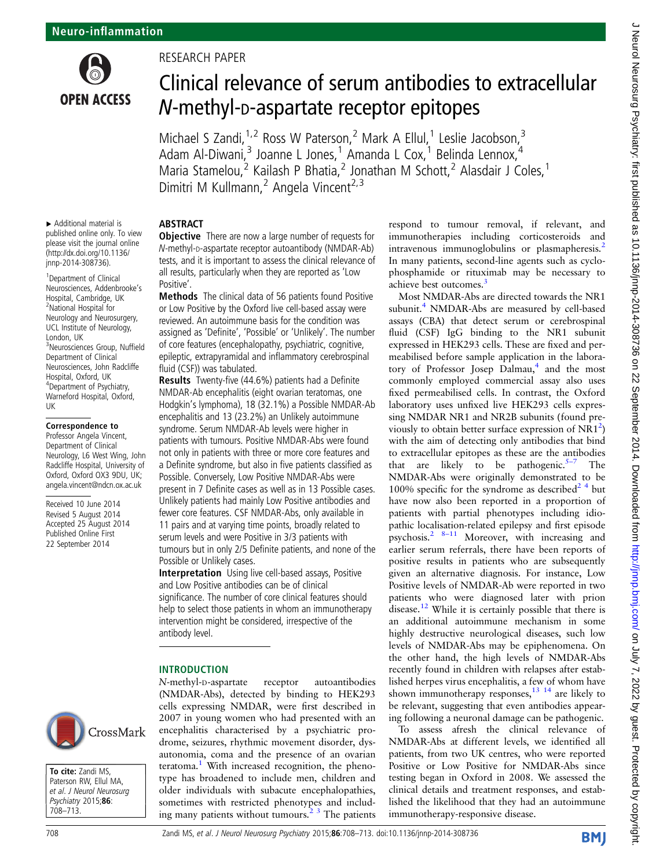

# RESEARCH PAPER

**ABSTRACT** 

# Clinical relevance of serum antibodies to extracellular N-methyl-D-aspartate receptor epitopes

Michael S Zandi,<sup>1,2</sup> Ross W Paterson,<sup>2</sup> Mark A Ellul,<sup>1</sup> Leslie Jacobson,<sup>3</sup> Adam Al-Diwani,<sup>3</sup> Joanne L Jones,<sup>1</sup> Amanda L Cox,<sup>1</sup> Belinda Lennox,<sup>4</sup> Maria Stamelou,<sup>2</sup> Kailash P Bhatia,<sup>2</sup> Jonathan M Schott,<sup>2</sup> Alasdair J Coles,<sup>1</sup> Dimitri M Kullmann,<sup>2</sup> Angela Vincent<sup>2,3</sup>

▸ Additional material is published online only. To view please visit the journal online [\(http://dx.doi.org/10.1136/](http://dx.doi.org/10.1136/jnnp-2014-308736) [jnnp-2014-308736](http://dx.doi.org/10.1136/jnnp-2014-308736)).

1 Department of Clinical Neurosciences, Addenbrooke's Hospital, Cambridge, UK 2 National Hospital for Neurology and Neurosurgery, UCL Institute of Neurology, London, UK 3 Neurosciences Group, Nuffield Department of Clinical Neurosciences, John Radcliffe Hospital, Oxford, UK 4 Department of Psychiatry, Warneford Hospital, Oxford,

#### Correspondence to

UK

Professor Angela Vincent, Department of Clinical Neurology, L6 West Wing, John Radcliffe Hospital, University of Oxford, Oxford OX3 9DU, UK; angela.vincent@ndcn.ox.ac.uk

Received 10 June 2014 Revised 5 August 2014 Accepted 25 August 2014 Published Online First 22 September 2014



To cite: Zandi MS, Paterson RW, Ellul MA, et al. J Neurol Neurosurg Psychiatry 2015;86: 708–713.

**Objective** There are now a large number of requests for N-methyl-D-aspartate receptor autoantibody (NMDAR-Ab) tests, and it is important to assess the clinical relevance of all results, particularly when they are reported as 'Low Positive'.

Methods The clinical data of 56 patients found Positive or Low Positive by the Oxford live cell-based assay were reviewed. An autoimmune basis for the condition was assigned as 'Definite', 'Possible' or 'Unlikely'. The number of core features (encephalopathy, psychiatric, cognitive, epileptic, extrapyramidal and inflammatory cerebrospinal fluid (CSF)) was tabulated.

Results Twenty-five (44.6%) patients had a Definite NMDAR-Ab encephalitis (eight ovarian teratomas, one Hodgkin's lymphoma), 18 (32.1%) a Possible NMDAR-Ab encephalitis and 13 (23.2%) an Unlikely autoimmune syndrome. Serum NMDAR-Ab levels were higher in patients with tumours. Positive NMDAR-Abs were found not only in patients with three or more core features and a Definite syndrome, but also in five patients classified as Possible. Conversely, Low Positive NMDAR-Abs were present in 7 Definite cases as well as in 13 Possible cases. Unlikely patients had mainly Low Positive antibodies and fewer core features. CSF NMDAR-Abs, only available in 11 pairs and at varying time points, broadly related to serum levels and were Positive in 3/3 patients with tumours but in only 2/5 Definite patients, and none of the Possible or Unlikely cases.

Interpretation Using live cell-based assays, Positive and Low Positive antibodies can be of clinical significance. The number of core clinical features should help to select those patients in whom an immunotherapy intervention might be considered, irrespective of the antibody level.

## INTRODUCTION

N-methyl-D-aspartate receptor autoantibodies (NMDAR-Abs), detected by binding to HEK293 cells expressing NMDAR, were first described in 2007 in young women who had presented with an encephalitis characterised by a psychiatric prodrome, seizures, rhythmic movement disorder, dysautonomia, coma and the presence of an ovarian teratoma.<sup>[1](#page-5-0)</sup> With increased recognition, the phenotype has broadened to include men, children and older individuals with subacute encephalopathies, sometimes with restricted phenotypes and including many patients without tumours.[2 3](#page-5-0) The patients respond to tumour removal, if relevant, and immunotherapies including corticosteroids and intravenous immunoglobulins or plasmapheresis.<sup>[2](#page-5-0)</sup> In many patients, second-line agents such as cyclophosphamide or rituximab may be necessary to achieve best outcomes.<sup>[3](#page-5-0)</sup>

Most NMDAR-Abs are directed towards the NR1 subunit.<sup>[4](#page-5-0)</sup> NMDAR-Abs are measured by cell-based assays (CBA) that detect serum or cerebrospinal fluid (CSF) IgG binding to the NR1 subunit expressed in HEK293 cells. These are fixed and permeabilised before sample application in the labora-tory of Professor Josep Dalmau,<sup>[4](#page-5-0)</sup> and the most commonly employed commercial assay also uses fixed permeabilised cells. In contrast, the Oxford laboratory uses unfixed live HEK293 cells expressing NMDAR NR1 and NR2B subunits (found previously to obtain better surface expression of  $NR1^2$  $NR1^2$ ) with the aim of detecting only antibodies that bind to extracellular epitopes as these are the antibodies that are likely to be pathogenic.<sup>[5](#page-5-0)–7</sup> The NMDAR-Abs were originally demonstrated to be 100% specific for the syndrome as described  $2^4$  but have now also been reported in a proportion of patients with partial phenotypes including idiopathic localisation-related epilepsy and first episode psychosis.<sup>2</sup>  $8-11$  $8-11$  Moreover, with increasing and earlier serum referrals, there have been reports of positive results in patients who are subsequently given an alternative diagnosis. For instance, Low Positive levels of NMDAR-Ab were reported in two patients who were diagnosed later with prion disease[.12](#page-5-0) While it is certainly possible that there is an additional autoimmune mechanism in some highly destructive neurological diseases, such low levels of NMDAR-Abs may be epiphenomena. On the other hand, the high levels of NMDAR-Abs recently found in children with relapses after established herpes virus encephalitis, a few of whom have shown immunotherapy responses,  $^{13}$   $^{14}$  are likely to be relevant, suggesting that even antibodies appearing following a neuronal damage can be pathogenic.

To assess afresh the clinical relevance of NMDAR-Abs at different levels, we identified all patients, from two UK centres, who were reported Positive or Low Positive for NMDAR-Abs since testing began in Oxford in 2008. We assessed the clinical details and treatment responses, and established the likelihood that they had an autoimmune immunotherapy-responsive disease.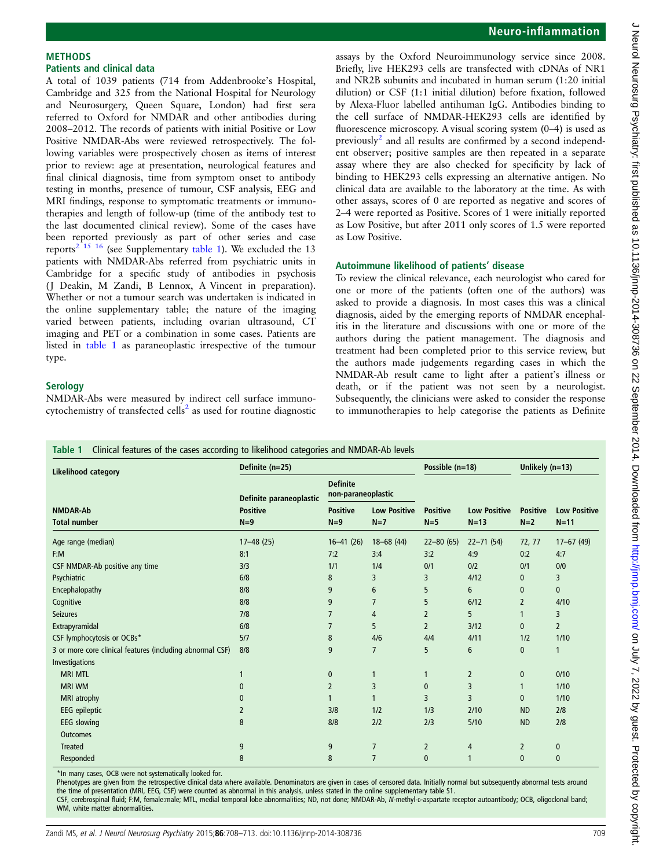# Neuro-inflammation

assays by the Oxford Neuroimmunology service since 2008. Briefly, live HEK293 cells are transfected with cDNAs of NR1 and NR2B subunits and incubated in human serum (1:20 initial dilution) or CSF (1:1 initial dilution) before fixation, followed by Alexa-Fluor labelled antihuman IgG. Antibodies binding to the cell surface of NMDAR-HEK293 cells are identified by fluorescence microscopy. A visual scoring system (0–4) is used as previously<sup>[2](#page-5-0)</sup> and all results are confirmed by a second independent observer; positive samples are then repeated in a separate assay where they are also checked for specificity by lack of binding to HEK293 cells expressing an alternative antigen. No clinical data are available to the laboratory at the time. As with other assays, scores of 0 are reported as negative and scores of 2–4 were reported as Positive. Scores of 1 were initially reported as Low Positive, but after 2011 only scores of 1.5 were reported as Low Positive.

## Autoimmune likelihood of patients' disease

To review the clinical relevance, each neurologist who cared for one or more of the patients (often one of the authors) was asked to provide a diagnosis. In most cases this was a clinical diagnosis, aided by the emerging reports of NMDAR encephalitis in the literature and discussions with one or more of the authors during the patient management. The diagnosis and treatment had been completed prior to this service review, but the authors made judgements regarding cases in which the NMDAR-Ab result came to light after a patient's illness or death, or if the patient was not seen by a neurologist. Subsequently, the clinicians were asked to consider the response to immunotherapies to help categorise the patients as Definite

# Table 1 Clinical features of the cases according to likelihood categories and NMDAR-Ab levels

NMDAR-Abs were measured by indirect cell surface immuno-cytochemistry of transfected cells<sup>[2](#page-5-0)</sup> as used for routine diagnostic

Likelihood category Definite (n=25) Possible (n=18) Unlikely (n=13) Definite paraneoplastic Definite non-paraneoplastic NMDAR-Ab Positive Positive Low Positive Positive Low Positive Positive Low Positive Total number N=9 N=9 N=7 N=5 N=13 N=2 N=11 Age range (median) 17–48 (25) 16–41 (26) 18–68 (44) 22–80 (65) 22–71 (54) 72, 77 17–67 (49) F:M 8:1 7:2 3:4 3:2 4:9 0:2 4:7 CSF NMDAR-Ab positive any time 13/3 1/1 1/4 0/1 0/2 0/1 0/0 Psychiatric 2008 3 3 4/12 0 3 3 4/12 10 3 4/12 10 3 4/12 10 4 5 4/12 10 4 5 4/12 10 4 5 4/12 10 4/12 10 4/12 1 Encephalopathy 8/8 9 6 5 6 0 0 Cognitive 8/8 9 7 5 6/12 2 4/10 Seizures 7/8 7 4 2 5 1 3 Extrapyramidal 6/8 7 5 2 3/12 0 2 CSF lymphocytosis or OCBs\* 5/7 5/7 8 4/6 4/4 4/11 1/2 1/10 3 or more core clinical features (including abnormal CSF) 8/8 9 7 5 6 0 1 Investigations MRI MTL 1 0 1 1 2 0 0/10 MRI WM 0 2 3 0 3 1 1/10 MRI atrophy 0 1 1 3 3 0 1/10 EEG epileptic 2 3/8 1/2 1/3 2/10 ND 2/8 EEG slowing 8 8/8 2/2 2/3 5/10 ND 2/8 **Outcomes** Treated 9 9 7 2 4 2 0 Responded the contract the second contract the second contract to the second contract of the contract of the co

\*In many cases, OCB were not systematically looked for.

<span id="page-1-0"></span>METHODS

type.

**Serology** 

Patients and clinical data

A total of 1039 patients (714 from Addenbrooke's Hospital, Cambridge and 325 from the National Hospital for Neurology and Neurosurgery, Queen Square, London) had first sera referred to Oxford for NMDAR and other antibodies during 2008–2012. The records of patients with initial Positive or Low Positive NMDAR-Abs were reviewed retrospectively. The following variables were prospectively chosen as items of interest prior to review: age at presentation, neurological features and final clinical diagnosis, time from symptom onset to antibody testing in months, presence of tumour, CSF analysis, EEG and MRI findings, response to symptomatic treatments or immunotherapies and length of follow-up (time of the antibody test to the last documented clinical review). Some of the cases have been reported previously as part of other series and case reports<sup>2 15</sup> 16 (see Supplementary table 1). We excluded the 13 patients with NMDAR-Abs referred from psychiatric units in Cambridge for a specific study of antibodies in psychosis (J Deakin, M Zandi, B Lennox, A Vincent in preparation). Whether or not a tumour search was undertaken is indicated in the online supplementary table; the nature of the imaging varied between patients, including ovarian ultrasound, CT imaging and PET or a combination in some cases. Patients are listed in table 1 as paraneoplastic irrespective of the tumour

Phenotypes are given from the retrospective clinical data where available. Denominators are given in cases of censored data. Initially normal but subsequently abnormal tests around the time of presentation (MRI, EEG, CSF) were counted as abnormal in this analysis, unless stated in the online supplementary table S1.

CSF, cerebrospinal fluid; F:M, female:male; MTL, medial temporal lobe abnormalities; ND, not done; NMDAR-Ab, N-methyl-D-aspartate receptor autoantibody; OCB, oligoclonal band; WM, white matter abnormalities.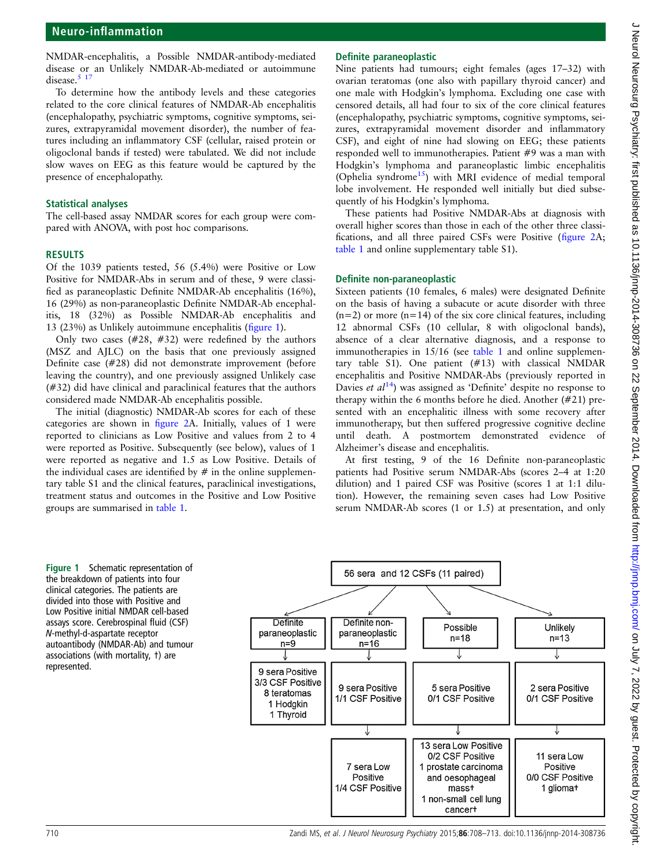NMDAR-encephalitis, a Possible NMDAR-antibody-mediated disease or an Unlikely NMDAR-Ab-mediated or autoimmune disease.<sup>5</sup> 17

To determine how the antibody levels and these categories related to the core clinical features of NMDAR-Ab encephalitis (encephalopathy, psychiatric symptoms, cognitive symptoms, seizures, extrapyramidal movement disorder), the number of features including an inflammatory CSF (cellular, raised protein or oligoclonal bands if tested) were tabulated. We did not include slow waves on EEG as this feature would be captured by the presence of encephalopathy.

#### Statistical analyses

The cell-based assay NMDAR scores for each group were compared with ANOVA, with post hoc comparisons.

#### RESULTS

Of the 1039 patients tested, 56 (5.4%) were Positive or Low Positive for NMDAR-Abs in serum and of these, 9 were classified as paraneoplastic Definite NMDAR-Ab encephalitis (16%), 16 (29%) as non-paraneoplastic Definite NMDAR-Ab encephalitis, 18 (32%) as Possible NMDAR-Ab encephalitis and 13 (23%) as Unlikely autoimmune encephalitis (figure 1).

Only two cases (#28, #32) were redefined by the authors (MSZ and AJLC) on the basis that one previously assigned Definite case (#28) did not demonstrate improvement (before leaving the country), and one previously assigned Unlikely case (#32) did have clinical and paraclinical features that the authors considered made NMDAR-Ab encephalitis possible.

The initial (diagnostic) NMDAR-Ab scores for each of these categories are shown in fi[gure 2A](#page-3-0). Initially, values of 1 were reported to clinicians as Low Positive and values from 2 to 4 were reported as Positive. Subsequently (see below), values of 1 were reported as negative and 1.5 as Low Positive. Details of the individual cases are identified by  $#$  in the online supplementary table S1 and the clinical features, paraclinical investigations, treatment status and outcomes in the Positive and Low Positive groups are summarised in [table 1.](#page-1-0)

# Definite paraneoplastic

Nine patients had tumours; eight females (ages 17–32) with ovarian teratomas (one also with papillary thyroid cancer) and one male with Hodgkin's lymphoma. Excluding one case with censored details, all had four to six of the core clinical features (encephalopathy, psychiatric symptoms, cognitive symptoms, seizures, extrapyramidal movement disorder and inflammatory CSF), and eight of nine had slowing on EEG; these patients responded well to immunotherapies. Patient #9 was a man with Hodgkin's lymphoma and paraneoplastic limbic encephalitis (Ophelia syndrome<sup>15</sup>) with MRI evidence of medial temporal lobe involvement. He responded well initially but died subsequently of his Hodgkin's lymphoma.

These patients had Positive NMDAR-Abs at diagnosis with overall higher scores than those in each of the other three classifications, and all three paired CSFs were Positive (fi[gure 2](#page-3-0)A; [table 1](#page-1-0) and online supplementary table S1).

#### Definite non-paraneoplastic

Sixteen patients (10 females, 6 males) were designated Definite on the basis of having a subacute or acute disorder with three  $(n=2)$  or more  $(n=14)$  of the six core clinical features, including 12 abnormal CSFs (10 cellular, 8 with oligoclonal bands), absence of a clear alternative diagnosis, and a response to immunotherapies in 15/16 (see [table 1](#page-1-0) and online supplementary table S1). One patient (#13) with classical NMDAR encephalitis and Positive NMDAR-Abs (previously reported in Davies et  $al^{14}$  $al^{14}$  $al^{14}$ ) was assigned as 'Definite' despite no response to therapy within the 6 months before he died. Another (#21) presented with an encephalitic illness with some recovery after immunotherapy, but then suffered progressive cognitive decline until death. A postmortem demonstrated evidence of Alzheimer's disease and encephalitis.

At first testing, 9 of the 16 Definite non-paraneoplastic patients had Positive serum NMDAR-Abs (scores 2–4 at 1:20 dilution) and 1 paired CSF was Positive (scores 1 at 1:1 dilution). However, the remaining seven cases had Low Positive serum NMDAR-Ab scores (1 or 1.5) at presentation, and only

Figure 1 Schematic representation of the breakdown of patients into four clinical categories. The patients are divided into those with Positive and Low Positive initial NMDAR cell-based assays score. Cerebrospinal fluid (CSF) N-methyl-d-aspartate receptor autoantibody (NMDAR-Ab) and tumour associations (with mortality, †) are represented.

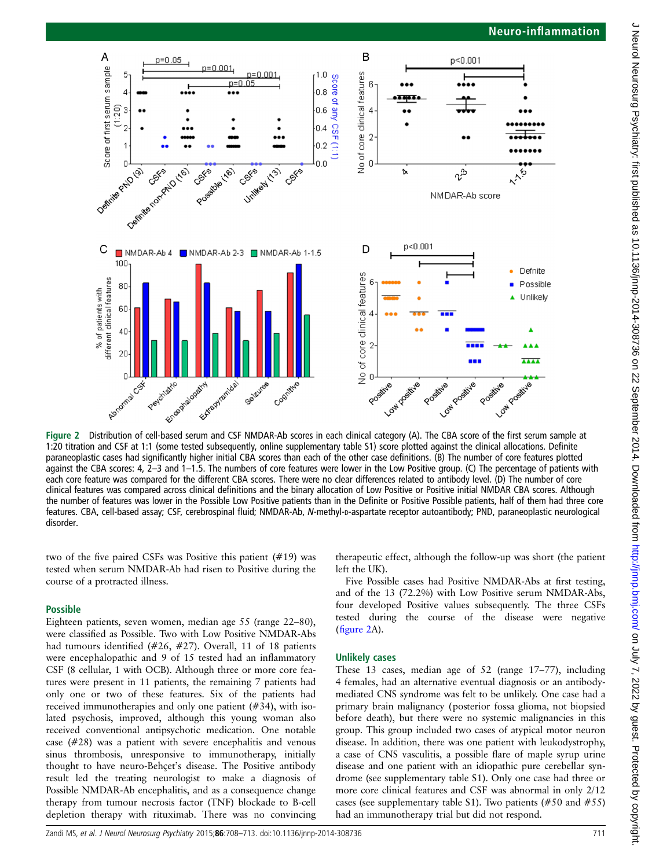<span id="page-3-0"></span>

1:20 titration and CSF at 1:1 (some tested subsequently, online supplementary table S1) score plotted against the clinical allocations. Definite paraneoplastic cases had significantly higher initial CBA scores than each of the other case definitions. (B) The number of core features plotted against the CBA scores: 4, 2–3 and 1–1.5. The numbers of core features were lower in the Low Positive group. (C) The percentage of patients with each core feature was compared for the different CBA scores. There were no clear differences related to antibody level. (D) The number of core clinical features was compared across clinical definitions and the binary allocation of Low Positive or Positive initial NMDAR CBA scores. Although the number of features was lower in the Possible Low Positive patients than in the Definite or Positive Possible patients, half of them had three core features. CBA, cell-based assay; CSF, cerebrospinal fluid; NMDAR-Ab, N-methyl-D-aspartate receptor autoantibody; PND, paraneoplastic neurological disorder.

two of the five paired CSFs was Positive this patient (#19) was tested when serum NMDAR-Ab had risen to Positive during the course of a protracted illness.

## Possible

Eighteen patients, seven women, median age 55 (range 22–80), were classified as Possible. Two with Low Positive NMDAR-Abs had tumours identified (#26, #27). Overall, 11 of 18 patients were encephalopathic and 9 of 15 tested had an inflammatory CSF (8 cellular, 1 with OCB). Although three or more core features were present in 11 patients, the remaining 7 patients had only one or two of these features. Six of the patients had received immunotherapies and only one patient (#34), with isolated psychosis, improved, although this young woman also received conventional antipsychotic medication. One notable case (#28) was a patient with severe encephalitis and venous sinus thrombosis, unresponsive to immunotherapy, initially thought to have neuro-Behçet's disease. The Positive antibody result led the treating neurologist to make a diagnosis of Possible NMDAR-Ab encephalitis, and as a consequence change therapy from tumour necrosis factor (TNF) blockade to B-cell depletion therapy with rituximab. There was no convincing

therapeutic effect, although the follow-up was short (the patient left the UK).

Five Possible cases had Positive NMDAR-Abs at first testing, and of the 13 (72.2%) with Low Positive serum NMDAR-Abs, four developed Positive values subsequently. The three CSFs tested during the course of the disease were negative (figure 2A).

## Unlikely cases

These 13 cases, median age of 52 (range 17–77), including 4 females, had an alternative eventual diagnosis or an antibodymediated CNS syndrome was felt to be unlikely. One case had a primary brain malignancy (posterior fossa glioma, not biopsied before death), but there were no systemic malignancies in this group. This group included two cases of atypical motor neuron disease. In addition, there was one patient with leukodystrophy, a case of CNS vasculitis, a possible flare of maple syrup urine disease and one patient with an idiopathic pure cerebellar syndrome (see supplementary table S1). Only one case had three or more core clinical features and CSF was abnormal in only 2/12 cases (see supplementary table S1). Two patients (#50 and #55) had an immunotherapy trial but did not respond.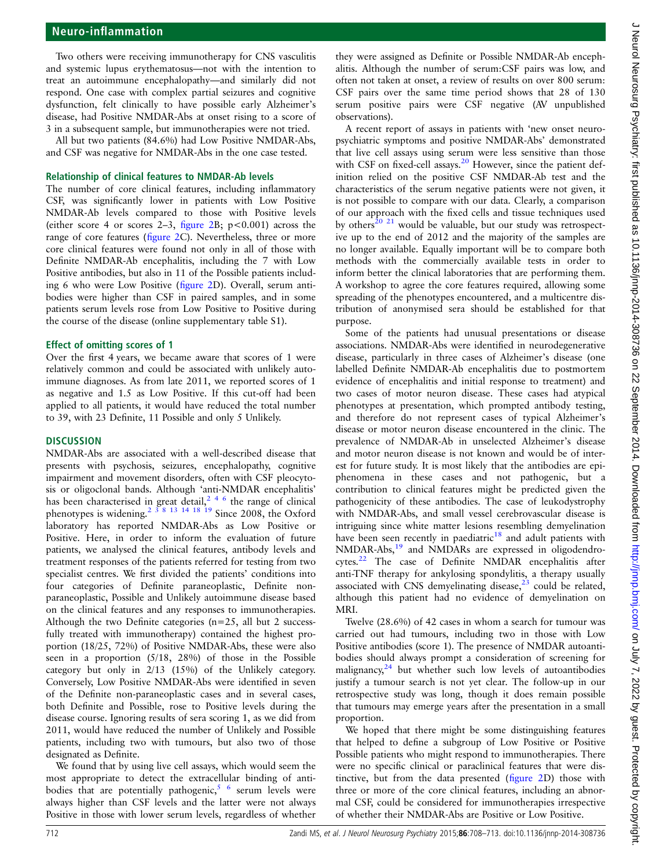# Neuro-inflammation

Two others were receiving immunotherapy for CNS vasculitis and systemic lupus erythematosus—not with the intention to treat an autoimmune encephalopathy—and similarly did not respond. One case with complex partial seizures and cognitive dysfunction, felt clinically to have possible early Alzheimer's disease, had Positive NMDAR-Abs at onset rising to a score of 3 in a subsequent sample, but immunotherapies were not tried.

All but two patients (84.6%) had Low Positive NMDAR-Abs, and CSF was negative for NMDAR-Abs in the one case tested.

#### Relationship of clinical features to NMDAR-Ab levels

The number of core clinical features, including inflammatory CSF, was significantly lower in patients with Low Positive NMDAR-Ab levels compared to those with Positive levels (either score 4 or scores 2–3, fi[gure 2B](#page-3-0);  $p < 0.001$ ) across the range of core features (fi[gure 2](#page-3-0)C). Nevertheless, three or more core clinical features were found not only in all of those with Definite NMDAR-Ab encephalitis, including the 7 with Low Positive antibodies, but also in 11 of the Possible patients including 6 who were Low Positive (fi[gure 2D](#page-3-0)). Overall, serum antibodies were higher than CSF in paired samples, and in some patients serum levels rose from Low Positive to Positive during the course of the disease (online supplementary table S1).

#### Effect of omitting scores of 1

Over the first 4 years, we became aware that scores of 1 were relatively common and could be associated with unlikely autoimmune diagnoses. As from late 2011, we reported scores of 1 as negative and 1.5 as Low Positive. If this cut-off had been applied to all patients, it would have reduced the total number to 39, with 23 Definite, 11 Possible and only 5 Unlikely.

#### **DISCUSSION**

NMDAR-Abs are associated with a well-described disease that presents with psychosis, seizures, encephalopathy, cognitive impairment and movement disorders, often with CSF pleocytosis or oligoclonal bands. Although 'anti-NMDAR encephalitis' has been characterised in great detail,<sup>[246](#page-5-0)</sup> the range of clinical phenotypes is widening.<sup>2 3 8</sup> <sup>13</sup> <sup>14</sup> <sup>18</sup> <sup>19</sup> Since 2008, the Oxford laboratory has reported NMDAR-Abs as Low Positive or Positive. Here, in order to inform the evaluation of future patients, we analysed the clinical features, antibody levels and treatment responses of the patients referred for testing from two specialist centres. We first divided the patients' conditions into four categories of Definite paraneoplastic, Definite nonparaneoplastic, Possible and Unlikely autoimmune disease based on the clinical features and any responses to immunotherapies. Although the two Definite categories ( $n=25$ , all but 2 successfully treated with immunotherapy) contained the highest proportion (18/25, 72%) of Positive NMDAR-Abs, these were also seen in a proportion (5/18, 28%) of those in the Possible category but only in 2/13 (15%) of the Unlikely category. Conversely, Low Positive NMDAR-Abs were identified in seven of the Definite non-paraneoplastic cases and in several cases, both Definite and Possible, rose to Positive levels during the disease course. Ignoring results of sera scoring 1, as we did from 2011, would have reduced the number of Unlikely and Possible patients, including two with tumours, but also two of those designated as Definite.

We found that by using live cell assays, which would seem the most appropriate to detect the extracellular binding of antibodies that are potentially pathogenic,  $5/6$  serum levels were always higher than CSF levels and the latter were not always Positive in those with lower serum levels, regardless of whether

they were assigned as Definite or Possible NMDAR-Ab encephalitis. Although the number of serum:CSF pairs was low, and often not taken at onset, a review of results on over 800 serum: CSF pairs over the same time period shows that 28 of 130 serum positive pairs were CSF negative (AV unpublished observations).

A recent report of assays in patients with 'new onset neuropsychiatric symptoms and positive NMDAR-Abs' demonstrated that live cell assays using serum were less sensitive than those with CSF on fixed-cell assays. $^{20}$  $^{20}$  $^{20}$  However, since the patient definition relied on the positive CSF NMDAR-Ab test and the characteristics of the serum negative patients were not given, it is not possible to compare with our data. Clearly, a comparison of our approach with the fixed cells and tissue techniques used by others<sup>[20 21](#page-5-0)</sup> would be valuable, but our study was retrospective up to the end of 2012 and the majority of the samples are no longer available. Equally important will be to compare both methods with the commercially available tests in order to inform better the clinical laboratories that are performing them. A workshop to agree the core features required, allowing some spreading of the phenotypes encountered, and a multicentre distribution of anonymised sera should be established for that purpose.

Some of the patients had unusual presentations or disease associations. NMDAR-Abs were identified in neurodegenerative disease, particularly in three cases of Alzheimer's disease (one labelled Definite NMDAR-Ab encephalitis due to postmortem evidence of encephalitis and initial response to treatment) and two cases of motor neuron disease. These cases had atypical phenotypes at presentation, which prompted antibody testing, and therefore do not represent cases of typical Alzheimer's disease or motor neuron disease encountered in the clinic. The prevalence of NMDAR-Ab in unselected Alzheimer's disease and motor neuron disease is not known and would be of interest for future study. It is most likely that the antibodies are epiphenomena in these cases and not pathogenic, but a contribution to clinical features might be predicted given the pathogenicity of these antibodies. The case of leukodystrophy with NMDAR-Abs, and small vessel cerebrovascular disease is intriguing since white matter lesions resembling demyelination have been seen recently in paediatric $18$  and adult patients with NMDAR-Abs,[19](#page-5-0) and NMDARs are expressed in oligodendrocytes.[22](#page-5-0) The case of Definite NMDAR encephalitis after anti-TNF therapy for ankylosing spondylitis, a therapy usually associated with CNS demyelinating disease, $23$  could be related, although this patient had no evidence of demyelination on MRI.

Twelve (28.6%) of 42 cases in whom a search for tumour was carried out had tumours, including two in those with Low Positive antibodies (score 1). The presence of NMDAR autoantibodies should always prompt a consideration of screening for malignancy, $24$  but whether such low levels of autoantibodies justify a tumour search is not yet clear. The follow-up in our retrospective study was long, though it does remain possible that tumours may emerge years after the presentation in a small proportion.

We hoped that there might be some distinguishing features that helped to define a subgroup of Low Positive or Positive Possible patients who might respond to immunotherapies. There were no specific clinical or paraclinical features that were distinctive, but from the data presented (fi[gure 2D](#page-3-0)) those with three or more of the core clinical features, including an abnormal CSF, could be considered for immunotherapies irrespective of whether their NMDAR-Abs are Positive or Low Positive.